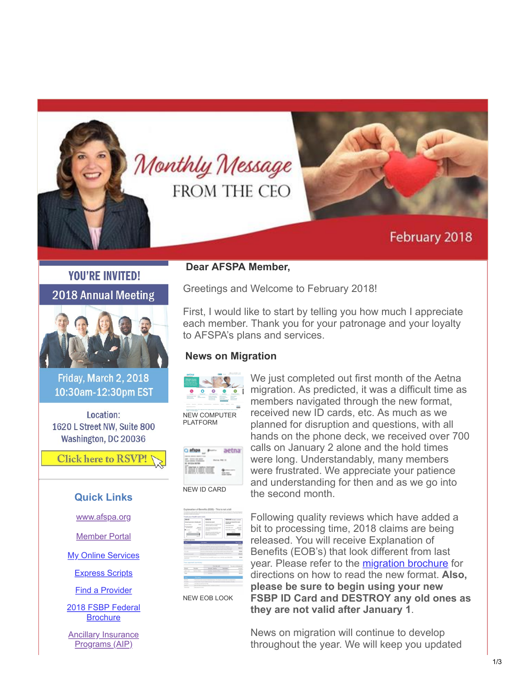

# February 2018

# **YOU'RE INVITED! 2018 Annual Meeting**



Friday, March 2, 2018 10:30am-12:30pm EST

Location: 1620 L Street NW, Suite 800 Washington, DC 20036

**Click here to RSVP!** 

### **Quick Links**

[www.afspa.org](http://www.afspa.org/)

[Member Portal](https://secure.myafspa.org/)

**[My Online Services](https://member.cvty.com/memberPortalWeb/appmanager/memberPortal/member)** 

[Express Scripts](https://www.express-scripts.com/consumer/site/home?partner=FSBP&accessLink=FSBPDCC)

[Find a Provider](http://fsbp.coventryhealthcare.com/member-support/locate-a-provider/index.htm)

[2018 FSBP Federal](https://www.afspa.org/filestoreAFSPA/2018RI72-001FSBPBrochure.pdf) **Brochure** 

**[Ancillary Insurance](https://www.afspa.org/aip_home.cfm)** Programs (AIP)

## **Dear AFSPA Member,**

Greetings and Welcome to February 2018!

First, I would like to start by telling you how much I appreciate each member. Thank you for your patronage and your loyalty to AFSPA's plans and services.

### **News on Migration**



[NEW COMPUTER](https://www.afspa.org/filestoreAFSPA/aetna-navigator.PNG) PLATFORM



We just completed out first month of the Aetna migration. As predicted, it was a difficult time as members navigated through the new format, received new ID cards, etc. As much as we planned for disruption and questions, with all hands on the phone deck, we received over 700 calls on January 2 alone and the hold times were long. Understandably, many members were frustrated. We appreciate your patience and understanding for then and as we go into the second month.

[NEW EOB LOOK](https://www.afspa.org/filestoreAFSPA/NEW_EOB.PNG)

Following quality reviews which have added a bit to processing time, 2018 claims are being released. You will receive Explanation of Benefits (EOB's) that look different from last year. Please refer to the [migration brochure](https://www.afspa.org/filestoreAFSPA/MigrationBrochure.pdf) for directions on how to read the new format. **Also, please be sure to begin using your new FSBP ID Card and DESTROY any old ones as they are not valid after January 1**.

News on migration will continue to develop throughout the year. We will keep you updated